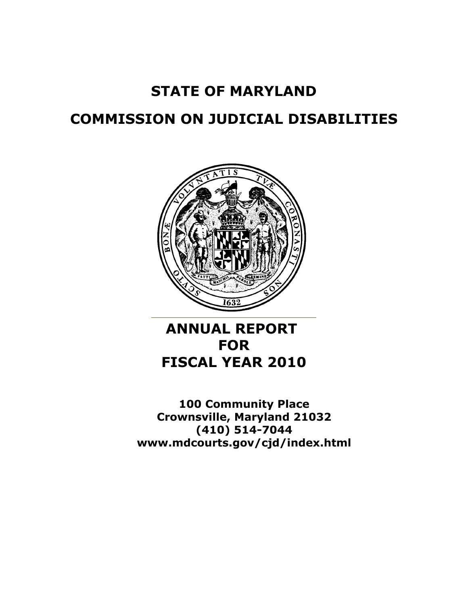# **STATE OF MARYLAND**

# **COMMISSION ON JUDICIAL DISABILITIES**



# **ANNUAL REPORT FOR FISCAL YEAR 2010**

**100 Community Place Crownsville, Maryland 21032 (410) 514-7044 www.mdcourts.gov/cjd/index.html**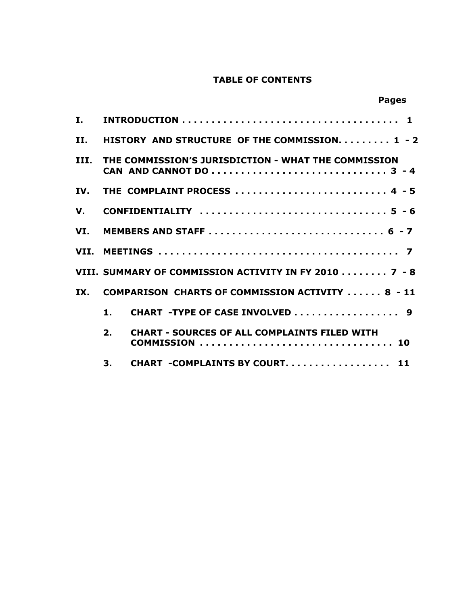# **TABLE OF CONTENTS**

|                  |               |                                                                                                      | <b>Pages</b> |  |
|------------------|---------------|------------------------------------------------------------------------------------------------------|--------------|--|
| I.               |               |                                                                                                      |              |  |
| II.              |               | HISTORY AND STRUCTURE OF THE COMMISSION 1 - 2                                                        |              |  |
| III.             |               | THE COMMISSION'S JURISDICTION - WHAT THE COMMISSION                                                  |              |  |
| IV.              |               | THE COMPLAINT PROCESS  4 - 5                                                                         |              |  |
| $\mathbf{V}_{-}$ |               | CONFIDENTIALITY $\ldots \ldots \ldots \ldots \ldots \ldots \ldots \ldots \ldots \ldots \ldots 5 - 6$ |              |  |
| VI.              |               | MEMBERS AND STAFF  6 - 7                                                                             |              |  |
|                  |               |                                                                                                      |              |  |
|                  |               | VIII. SUMMARY OF COMMISSION ACTIVITY IN FY 2010 7 - 8                                                |              |  |
| IX.              |               | <b>COMPARISON CHARTS OF COMMISSION ACTIVITY  8 - 11</b>                                              |              |  |
|                  | $\mathbf 1$ . | CHART - TYPE OF CASE INVOLVED 9                                                                      |              |  |
|                  | 2.            | <b>CHART - SOURCES OF ALL COMPLAINTS FILED WITH</b><br>COMMISSION  10                                |              |  |
|                  | 3.            | CHART - COMPLAINTS BY COURT 11                                                                       |              |  |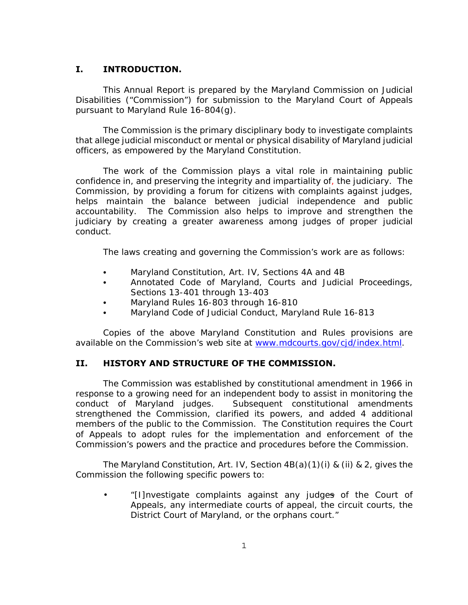### **I. INTRODUCTION.**

This Annual Report is prepared by the Maryland Commission on Judicial Disabilities ("Commission") for submission to the Maryland Court of Appeals pursuant to Maryland Rule 16-804(g).

The Commission is the primary disciplinary body to investigate complaints that allege judicial misconduct or mental or physical disability of Maryland judicial officers, as empowered by the Maryland Constitution.

The work of the Commission plays a vital role in maintaining public confidence in, and preserving the integrity and impartiality of, the judiciary. The Commission, by providing a forum for citizens with complaints against judges, helps maintain the balance between judicial independence and public accountability. The Commission also helps to improve and strengthen the judiciary by creating a greater awareness among judges of proper judicial conduct.

The laws creating and governing the Commission's work are as follows:

- Maryland Constitution, Art. IV, Sections 4A and 4B
- Annotated Code of Maryland, Courts and Judicial Proceedings, Sections 13-401 through 13-403
- Maryland Rules 16-803 through 16-810
- Maryland Code of Judicial Conduct, Maryland Rule 16-813

Copies of the above Maryland Constitution and Rules provisions are available on the Commission's web site at www.mdcourts.gov/cjd/index.html.

### **II. HISTORY AND STRUCTURE OF THE COMMISSION.**

The Commission was established by constitutional amendment in 1966 in response to a growing need for an independent body to assist in monitoring the conduct of Maryland judges. Subsequent constitutional amendments strengthened the Commission, clarified its powers, and added 4 additional members of the public to the Commission. The Constitution requires the Court of Appeals to adopt rules for the implementation and enforcement of the Commission's powers and the practice and procedures before the Commission.

The Maryland Constitution, Art. IV, Section 4B(a)(1)(i) & (ii) & 2, gives the Commission the following specific powers to:

• "[I]nvestigate complaints against any judges of the Court of Appeals, any intermediate courts of appeal, the circuit courts, the District Court of Maryland, or the orphans court."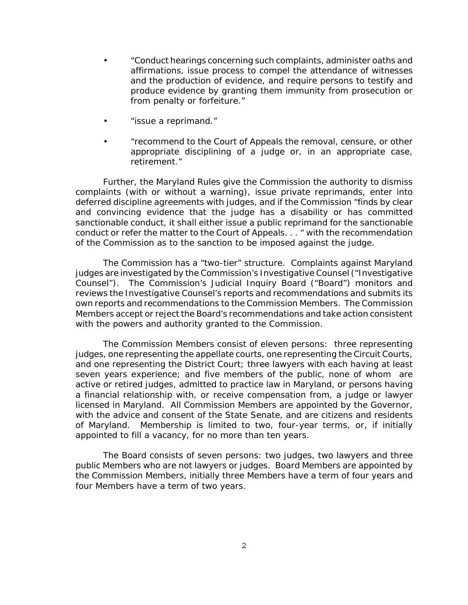- "Conduct hearings concerning such complaints, administer oaths and affirmations, issue process to compel the attendance of witnesses and the production of evidence, and require persons to testify and produce evidence by granting them immunity from prosecution or from penalty or forfeiture."
- "issue a reprimand."
- "recommend to the Court of Appeals the removal, censure, or other appropriate disciplining of a judge or, in an appropriate case, retirement."

Further, the Maryland Rules give the Commission the authority to dismiss complaints (with or without a warning), issue private reprimands, enter into deferred discipline agreements with judges, and if the Commission "finds by clear and convincing evidence that the judge has a disability or has committed sanctionable conduct, it shall either issue a public reprimand for the sanctionable conduct or refer the matter to the Court of Appeals. . . " with the recommendation of the Commission as to the sanction to be imposed against the judge.

The Commission has a "two-tier" structure. Complaints against Maryland judges are investigated by the Commission's Investigative Counsel ("Investigative Counsel"). The Commission's Judicial Inquiry Board ("Board") monitors and reviews the Investigative Counsel's reports and recommendations and submits its own reports and recommendations to the Commission Members. The Commission Members accept or reject the Board's recommendations and take action consistent with the powers and authority granted to the Commission.

The Commission Members consist of eleven persons: three representing judges, one representing the appellate courts, one representing the Circuit Courts, and one representing the District Court; three lawyers with each having at least seven years experience; and five members of the public, none of whom are active or retired judges, admitted to practice law in Maryland, or persons having a financial relationship with, or receive compensation from, a judge or lawyer licensed in Maryland. All Commission Members are appointed by the Governor, with the advice and consent of the State Senate, and are citizens and residents of Maryland. Membership is limited to two, four-year terms, or, if initially appointed to fill a vacancy, for no more than ten years.

The Board consists of seven persons: two judges, two lawyers and three public Members who are not lawyers or judges. Board Members are appointed by the Commission Members, initially three Members have a term of four years and four Members have a term of two years.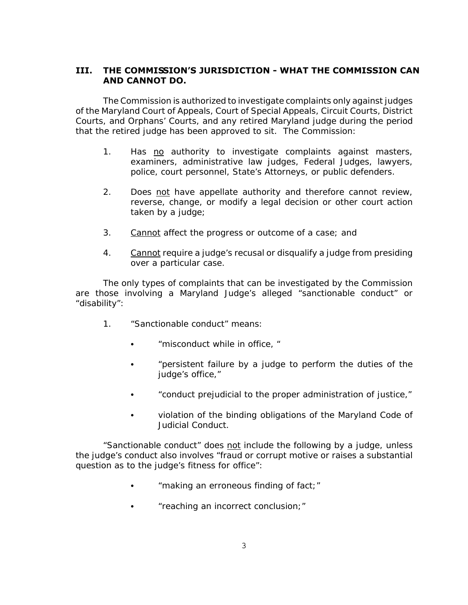# **III. THE COMMISSION'S JURISDICTION - WHAT THE COMMISSION CAN AND CANNOT DO.**

The Commission is authorized to investigate complaints only against judges of the Maryland Court of Appeals, Court of Special Appeals, Circuit Courts, District Courts, and Orphans' Courts, and any retired Maryland judge during the period that the retired judge has been approved to sit. The Commission:

- 1. Has no authority to investigate complaints against masters, examiners, administrative law judges, Federal Judges, lawyers, police, court personnel, State's Attorneys, or public defenders.
- 2. Does not have appellate authority and therefore cannot review, reverse, change, or modify a legal decision or other court action taken by a judge;
- 3. Cannot affect the progress or outcome of a case; and
- 4. Cannot require a judge's recusal or disqualify a judge from presiding over a particular case.

The only types of complaints that can be investigated by the Commission are those involving a Maryland Judge's alleged "sanctionable conduct" or "disability":

- 1. "Sanctionable conduct" means:
	- "misconduct while in office, "
	- "persistent failure by a judge to perform the duties of the judge's office,"
	- "conduct prejudicial to the proper administration of justice,"
	- violation of the binding obligations of the Maryland Code of Judicial Conduct.

"Sanctionable conduct" does not include the following by a judge, unless the judge's conduct also involves "fraud or corrupt motive or raises a substantial question as to the judge's fitness for office":

- $\bullet$  "making an erroneous finding of fact;"
- "reaching an incorrect conclusion;"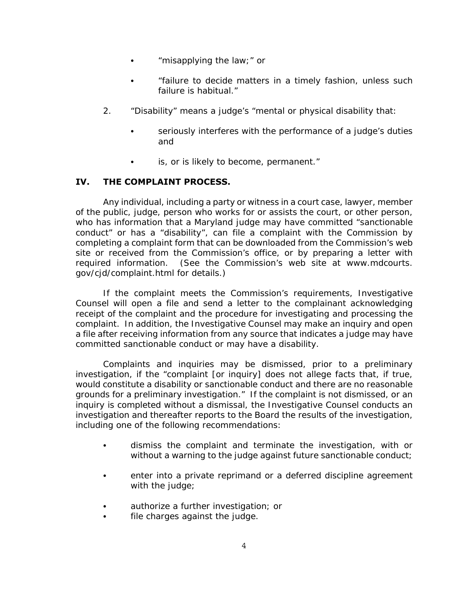- $\bullet$  "misapplying the law;" or
- C "failure to decide matters in a timely fashion, unless such failure is habitual."
- 2. "Disability" means a judge's "mental or physical disability that:
	- seriously interferes with the performance of a judge's duties and
	- $\bullet$  is, or is likely to become, permanent."

# **IV. THE COMPLAINT PROCESS.**

Any individual, including a party or witness in a court case, lawyer, member of the public, judge, person who works for or assists the court, or other person, who has information that a Maryland judge may have committed "sanctionable conduct" or has a "disability", can file a complaint with the Commission by completing a complaint form that can be downloaded from the Commission's web site or received from the Commission's office, or by preparing a letter with required information. (See the Commission's web site at www.mdcourts. gov/cjd/complaint.html for details.)

If the complaint meets the Commission's requirements, Investigative Counsel will open a file and send a letter to the complainant acknowledging receipt of the complaint and the procedure for investigating and processing the complaint. In addition, the Investigative Counsel may make an inquiry and open a file after receiving information from any source that indicates a judge may have committed sanctionable conduct or may have a disability.

Complaints and inquiries may be dismissed, prior to a preliminary investigation, if the "complaint [or inquiry] does not allege facts that, if true, would constitute a disability or sanctionable conduct and there are no reasonable grounds for a preliminary investigation." If the complaint is not dismissed, or an inquiry is completed without a dismissal, the Investigative Counsel conducts an investigation and thereafter reports to the Board the results of the investigation, including one of the following recommendations:

- dismiss the complaint and terminate the investigation, with or without a warning to the judge against future sanctionable conduct;
- enter into a private reprimand or a deferred discipline agreement with the judge;
- authorize a further investigation; or
- file charges against the judge.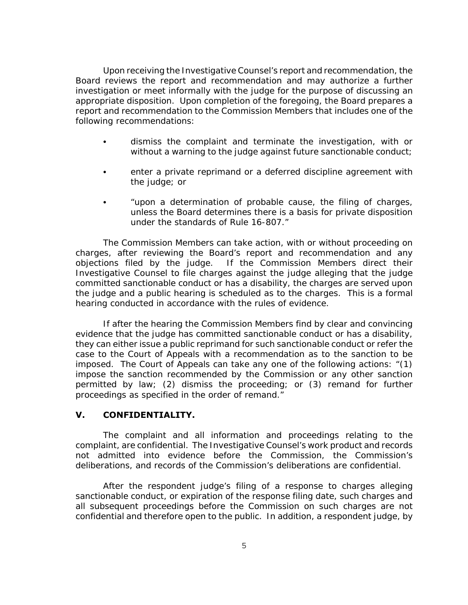Upon receiving the Investigative Counsel's report and recommendation, the Board reviews the report and recommendation and may authorize a further investigation or meet informally with the judge for the purpose of discussing an appropriate disposition. Upon completion of the foregoing, the Board prepares a report and recommendation to the Commission Members that includes one of the following recommendations:

- **•** dismiss the complaint and terminate the investigation, with or without a warning to the judge against future sanctionable conduct;
- enter a private reprimand or a deferred discipline agreement with the judge; or
- "upon a determination of probable cause, the filing of charges, unless the Board determines there is a basis for private disposition under the standards of Rule 16-807."

The Commission Members can take action, with or without proceeding on charges, after reviewing the Board's report and recommendation and any objections filed by the judge. If the Commission Members direct their Investigative Counsel to file charges against the judge alleging that the judge committed sanctionable conduct or has a disability, the charges are served upon the judge and a public hearing is scheduled as to the charges. This is a formal hearing conducted in accordance with the rules of evidence.

If after the hearing the Commission Members find by clear and convincing evidence that the judge has committed sanctionable conduct or has a disability, they can either issue a public reprimand for such sanctionable conduct or refer the case to the Court of Appeals with a recommendation as to the sanction to be imposed. The Court of Appeals can take any one of the following actions: "(1) impose the sanction recommended by the Commission or any other sanction permitted by law; (2) dismiss the proceeding; or (3) remand for further proceedings as specified in the order of remand."

## **V. CONFIDENTIALITY.**

The complaint and all information and proceedings relating to the complaint, are confidential. The Investigative Counsel's work product and records not admitted into evidence before the Commission, the Commission's deliberations, and records of the Commission's deliberations are confidential.

After the respondent judge's filing of a response to charges alleging sanctionable conduct, or expiration of the response filing date, such charges and all subsequent proceedings before the Commission on such charges are not confidential and therefore open to the public. In addition, a respondent judge, by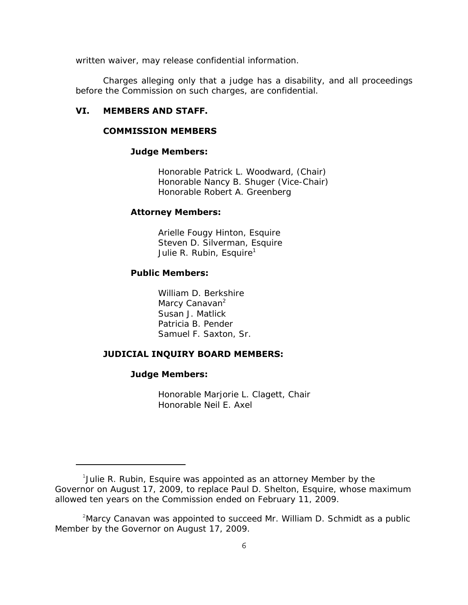written waiver, may release confidential information.

Charges alleging only that a judge has a disability, and all proceedings before the Commission on such charges, are confidential.

### **VI. MEMBERS AND STAFF.**

#### **COMMISSION MEMBERS**

#### **Judge Members:**

Honorable Patrick L. Woodward, (Chair) Honorable Nancy B. Shuger (Vice-Chair) Honorable Robert A. Greenberg

#### **Attorney Members:**

Arielle Fougy Hinton, Esquire Steven D. Silverman, Esquire Julie R. Rubin, Esquire<sup>1</sup>

#### **Public Members:**

William D. Berkshire Marcy Canavan<sup>2</sup> Susan J. Matlick Patricia B. Pender Samuel F. Saxton, Sr.

#### **JUDICIAL INQUIRY BOARD MEMBERS:**

#### **Judge Members:**

Honorable Marjorie L. Clagett, Chair Honorable Neil E. Axel

 $1$ Julie R. Rubin, Esquire was appointed as an attorney Member by the Governor on August 17, 2009, to replace Paul D. Shelton, Esquire, whose maximum allowed ten years on the Commission ended on February 11, 2009.

<sup>&</sup>lt;sup>2</sup>Marcy Canavan was appointed to succeed Mr. William D. Schmidt as a public Member by the Governor on August 17, 2009.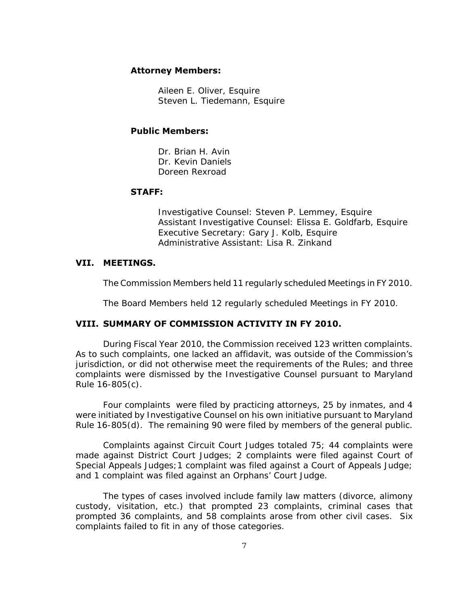#### **Attorney Members:**

Aileen E. Oliver, Esquire Steven L. Tiedemann, Esquire

#### **Public Members:**

Dr. Brian H. Avin Dr. Kevin Daniels Doreen Rexroad

#### **STAFF:**

Investigative Counsel: Steven P. Lemmey, Esquire Assistant Investigative Counsel: Elissa E. Goldfarb, Esquire Executive Secretary: Gary J. Kolb, Esquire Administrative Assistant: Lisa R. Zinkand

## **VII. MEETINGS.**

The Commission Members held 11 regularly scheduled Meetings in FY 2010.

The Board Members held 12 regularly scheduled Meetings in FY 2010.

# **VIII. SUMMARY OF COMMISSION ACTIVITY IN FY 2010.**

During Fiscal Year 2010, the Commission received 123 written complaints. As to such complaints, one lacked an affidavit, was outside of the Commission's jurisdiction, or did not otherwise meet the requirements of the Rules; and three complaints were dismissed by the Investigative Counsel pursuant to Maryland Rule 16-805(c).

Four complaints were filed by practicing attorneys, 25 by inmates, and 4 were initiated by Investigative Counsel on his own initiative pursuant to Maryland Rule 16-805(d). The remaining 90 were filed by members of the general public.

Complaints against Circuit Court Judges totaled 75; 44 complaints were made against District Court Judges; 2 complaints were filed against Court of Special Appeals Judges; 1 complaint was filed against a Court of Appeals Judge; and 1 complaint was filed against an Orphans' Court Judge.

The types of cases involved include family law matters (divorce, alimony custody, visitation, etc.) that prompted 23 complaints, criminal cases that prompted 36 complaints, and 58 complaints arose from other civil cases. Six complaints failed to fit in any of those categories.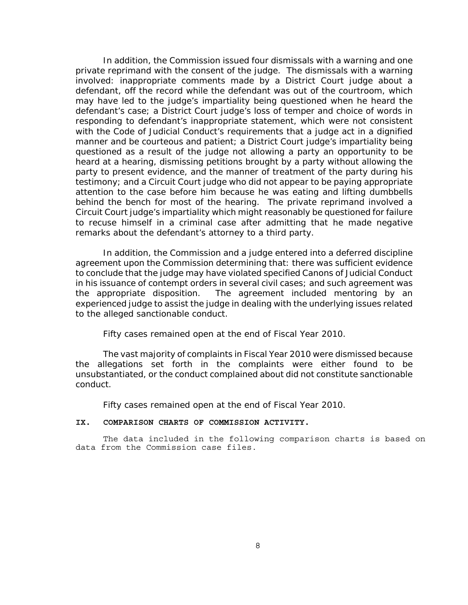In addition, the Commission issued four dismissals with a warning and one private reprimand with the consent of the judge. The dismissals with a warning involved: inappropriate comments made by a District Court judge about a defendant, off the record while the defendant was out of the courtroom, which may have led to the judge's impartiality being questioned when he heard the defendant's case; a District Court judge's loss of temper and choice of words in responding to defendant's inappropriate statement, which were not consistent with the Code of Judicial Conduct's requirements that a judge act in a dignified manner and be courteous and patient; a District Court judge's impartiality being questioned as a result of the judge not allowing a party an opportunity to be heard at a hearing, dismissing petitions brought by a party without allowing the party to present evidence, and the manner of treatment of the party during his testimony; and a Circuit Court judge who did not appear to be paying appropriate attention to the case before him because he was eating and lifting dumbbells behind the bench for most of the hearing. The private reprimand involved a Circuit Court judge's impartiality which might reasonably be questioned for failure to recuse himself in a criminal case after admitting that he made negative remarks about the defendant's attorney to a third party.

In addition, the Commission and a judge entered into a deferred discipline agreement upon the Commission determining that: there was sufficient evidence to conclude that the judge may have violated specified Canons of Judicial Conduct in his issuance of contempt orders in several civil cases; and such agreement was the appropriate disposition. The agreement included mentoring by an experienced judge to assist the judge in dealing with the underlying issues related to the alleged sanctionable conduct.

Fifty cases remained open at the end of Fiscal Year 2010.

The vast majority of complaints in Fiscal Year 2010 were dismissed because the allegations set forth in the complaints were either found to be unsubstantiated, or the conduct complained about did not constitute sanctionable conduct.

Fifty cases remained open at the end of Fiscal Year 2010.

#### **IX. COMPARISON CHARTS OF COMMISSION ACTIVITY.**

The data included in the following comparison charts is based on data from the Commission case files.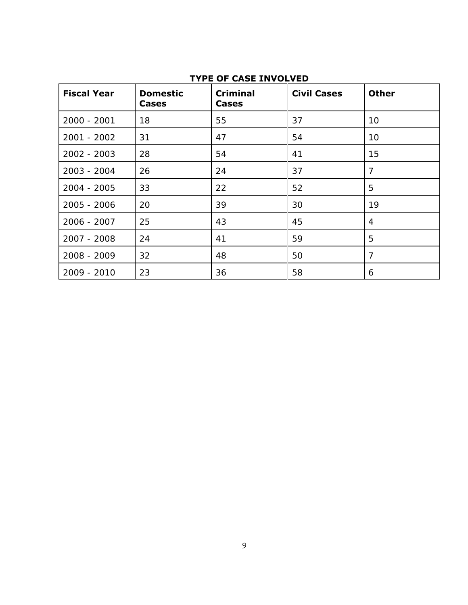| <b>Fiscal Year</b> | <b>Domestic</b><br><b>Cases</b> | <b>Criminal</b><br>Cases | <b>Civil Cases</b> | <b>Other</b>   |
|--------------------|---------------------------------|--------------------------|--------------------|----------------|
| 2000 - 2001        | 18                              | 55                       | 37                 | 10             |
| 2001 - 2002        | 31                              | 47                       | 54                 | 10             |
| 2002 - 2003        | 28                              | 54                       | 41                 | 15             |
| 2003 - 2004        | 26                              | 24                       | 37                 | $\overline{7}$ |
| 2004 - 2005        | 33                              | 22                       | 52                 | 5              |
| 2005 - 2006        | 20                              | 39                       | 30                 | 19             |
| 2006 - 2007        | 25                              | 43                       | 45                 | $\overline{4}$ |
| 2007 - 2008        | 24                              | 41                       | 59                 | 5              |
| 2008 - 2009        | 32                              | 48                       | 50                 | 7              |
| 2009 - 2010        | 23                              | 36                       | 58                 | 6              |

# **TYPE OF CASE INVOLVED**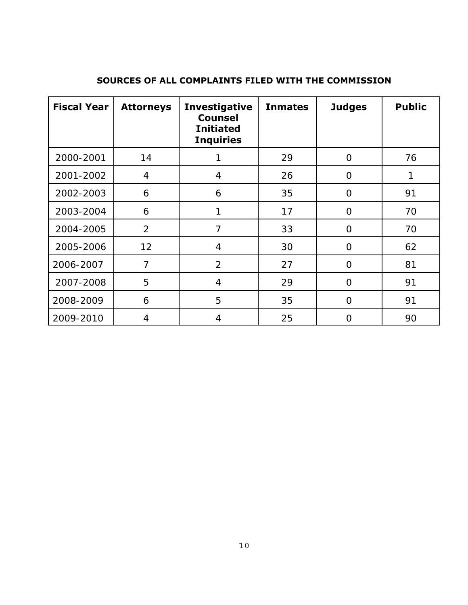| SOURCES OF ALL COMPLAINTS FILED WITH THE COMMISSION |  |  |  |
|-----------------------------------------------------|--|--|--|
|-----------------------------------------------------|--|--|--|

| <b>Fiscal Year</b> | <b>Attorneys</b> | <b>Investigative</b><br><b>Counsel</b><br><b>Initiated</b><br><b>Inquiries</b> | <b>Inmates</b> | <b>Judges</b>  | <b>Public</b> |
|--------------------|------------------|--------------------------------------------------------------------------------|----------------|----------------|---------------|
| 2000-2001          | 14               | 1                                                                              | 29             | $\Omega$       | 76            |
| 2001-2002          | 4                | $\overline{4}$                                                                 | 26             | $\Omega$       | 1             |
| 2002-2003          | 6                | 6                                                                              | 35             | $\Omega$       | 91            |
| 2003-2004          | 6                | 1                                                                              | 17             | $\overline{O}$ | 70            |
| 2004-2005          | 2                | 7                                                                              | 33             | $\overline{O}$ | 70            |
| 2005-2006          | 12               | $\overline{4}$                                                                 | 30             | $\Omega$       | 62            |
| 2006-2007          | $\overline{7}$   | $\overline{2}$                                                                 | 27             | $\Omega$       | 81            |
| 2007-2008          | 5                | 4                                                                              | 29             | $\Omega$       | 91            |
| 2008-2009          | 6                | 5                                                                              | 35             | $\Omega$       | 91            |
| 2009-2010          | 4                | 4                                                                              | 25             | 0              | 90            |